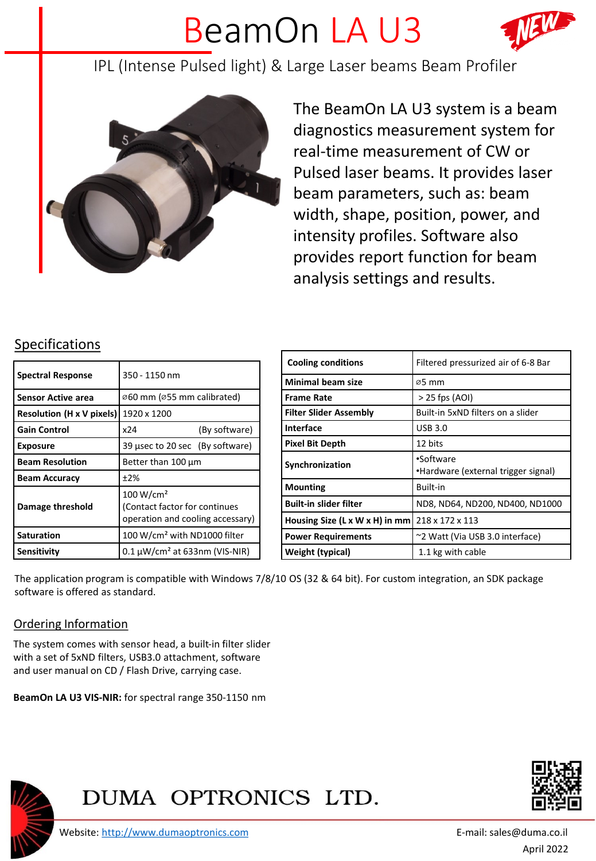## BeamOn LA U3



IPL (Intense Pulsed light) & Large Laser beams Beam Profiler



The BeamOn LA U3 system is a beam diagnostics measurement system for real-time measurement of CW or Pulsed laser beams. It provides laser beam parameters, such as: beam width, shape, position, power, and intensity profiles. Software also provides report function for beam analysis settings and results.

## Specifications

| <b>Spectral Response</b>         | 350 - 1150 nm                                                                              |
|----------------------------------|--------------------------------------------------------------------------------------------|
| <b>Sensor Active area</b>        | Ø60 mm (Ø55 mm calibrated)                                                                 |
| <b>Resolution (H x V pixels)</b> | 1920 x 1200                                                                                |
| <b>Gain Control</b>              | (By software)<br>x24                                                                       |
| <b>Exposure</b>                  | 39 usec to 20 sec (By software)                                                            |
| <b>Beam Resolution</b>           | Better than 100 µm                                                                         |
| <b>Beam Accuracy</b>             | ±2%                                                                                        |
| Damage threshold                 | 100 W/cm <sup>2</sup><br>(Contact factor for continues<br>operation and cooling accessary) |
| <b>Saturation</b>                | 100 W/cm <sup>2</sup> with ND1000 filter                                                   |
| <b>Sensitivity</b>               | $0.1 \mu W/cm^2$ at 633nm (VIS-NIR)                                                        |

| <b>Cooling conditions</b>      | Filtered pressurized air of 6-8 Bar              |
|--------------------------------|--------------------------------------------------|
| <b>Minimal beam size</b>       | ø5 mm                                            |
| <b>Frame Rate</b>              | $>$ 25 fps (AOI)                                 |
| <b>Filter Slider Assembly</b>  | Built-in 5xND filters on a slider                |
| Interface                      | <b>USB 3.0</b>                                   |
| Pixel Bit Depth                | 12 bits                                          |
| Synchronization                | •Software<br>•Hardware (external trigger signal) |
| <b>Mounting</b>                | Built-in                                         |
| <b>Built-in slider filter</b>  | ND8, ND64, ND200, ND400, ND1000                  |
| Housing Size (L x W x H) in mm | 218 x 172 x 113                                  |
| <b>Power Requirements</b>      | ~2 Watt (Via USB 3.0 interface)                  |
| Weight (typical)               | 1.1 kg with cable                                |

The application program is compatible with Windows 7/8/10 OS (32 & 64 bit). For custom integration, an SDK package software is offered as standard.

## Ordering Information

The system comes with sensor head, a built-in filter slider with a set of 5xND filters, USB3.0 attachment, software and user manual on CD / Flash Drive, carrying case.

**BeamOn LA U3 VIS-NIR:** for spectral range 350-1150 nm